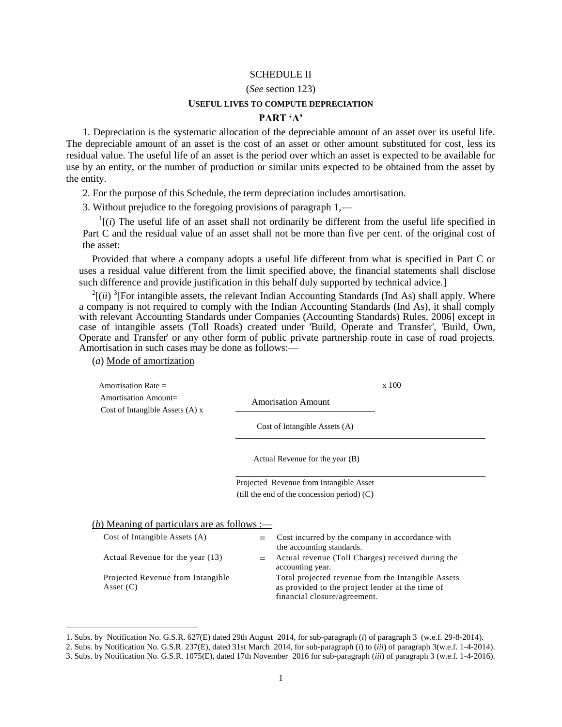# SCHEDULE II

#### (*See* section 123)

#### **USEFUL LIVES TO COMPUTE DEPRECIATION**

### **PART 'A'**

1. Depreciation is the systematic allocation of the depreciable amount of an asset over its useful life. The depreciable amount of an asset is the cost of an asset or other amount substituted for cost, less its residual value. The useful life of an asset is the period over which an asset is expected to be available for use by an entity, or the number of production or similar units expected to be obtained from the asset by the entity.

2. For the purpose of this Schedule, the term depreciation includes amortisation.

3. Without prejudice to the foregoing provisions of paragraph 1,—

 $\frac{1}{i}$  (*i*) The useful life of an asset shall not ordinarily be different from the useful life specified in Part C and the residual value of an asset shall not be more than five per cent. of the original cost of the asset:

Provided that where a company adopts a useful life different from what is specified in Part C or uses a residual value different from the limit specified above, the financial statements shall disclose such difference and provide justification in this behalf duly supported by technical advice.]

 $2[(ii)$ <sup>3</sup>[For intangible assets, the relevant Indian Accounting Standards (Ind As) shall apply. Where a company is not required to comply with the Indian Accounting Standards (Ind As), it shall comply with relevant Accounting Standards under Companies (Accounting Standards) Rules, 2006] except in case of intangible assets (Toll Roads) created under 'Build, Operate and Transfer', 'Build, Own, Operate and Transfer' or any other form of public private partnership route in case of road projects. Amortisation in such cases may be done as follows:—

(*a*) Mode of amortization

l

| Amortisation Rate $=$                                     |                               | x 100 |
|-----------------------------------------------------------|-------------------------------|-------|
| Amortisation Amount=<br>Cost of Intangible Assets $(A)$ x | <b>Amorisation Amount</b>     |       |
|                                                           | Cost of Intangible Assets (A) |       |

Actual Revenue for the year (B)

Projected Revenue from Intangible Asset (till the end of the concession period) (C)

(*b*) Meaning of particulars are as follows :—

| Cost of Intangible Assets (A)     | $\equiv$ Cost incurred by the company in accordance with<br>the accounting standards. |
|-----------------------------------|---------------------------------------------------------------------------------------|
|                                   |                                                                                       |
| Actual Revenue for the year (13)  | Actual revenue (Toll Charges) received during the                                     |
|                                   | accounting year.                                                                      |
| Projected Revenue from Intangible | Total projected revenue from the Intangible Assets                                    |
| Asset $(C)$                       | as provided to the project lender at the time of                                      |
|                                   | financial closure/agreement.                                                          |
|                                   |                                                                                       |

<sup>1.</sup> Subs. by Notification No. G.S.R. 627(E) dated 29th August 2014, for sub-paragraph (*i*) of paragraph 3 (w.e.f. 29-8-2014).

<sup>2.</sup> Subs. by Notification No. G.S.R. 237(E), dated 31st March 2014, for sub-paragraph (*i*) to (*iii*) of paragraph 3(w.e.f. 1-4-2014).

<sup>3.</sup> Subs. by Notification No. G.S.R. 1075(E), dated 17th November 2016 for sub-paragraph (*iii*) of paragraph 3 (w.e.f. 1-4-2016).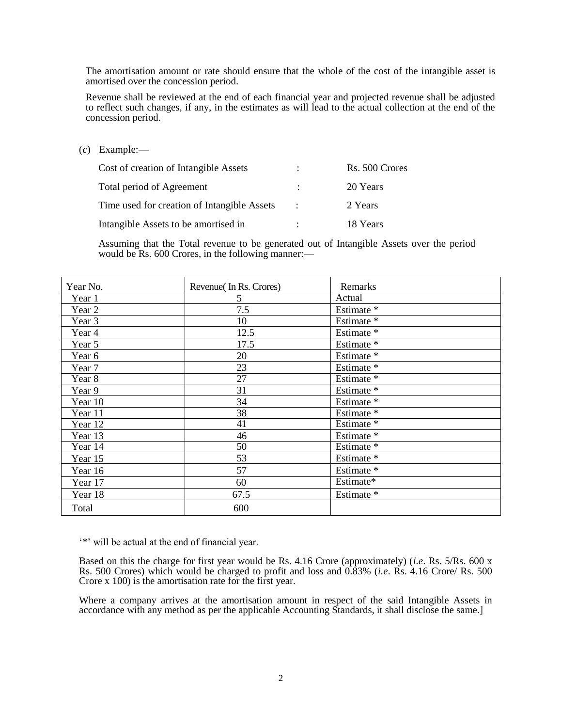The amortisation amount or rate should ensure that the whole of the cost of the intangible asset is amortised over the concession period.

Revenue shall be reviewed at the end of each financial year and projected revenue shall be adjusted to reflect such changes, if any, in the estimates as will lead to the actual collection at the end of the concession period.

(*c*) Example:—

| Cost of creation of Intangible Assets       |                      | Rs. 500 Crores |
|---------------------------------------------|----------------------|----------------|
| Total period of Agreement                   | $\mathbb{R}^n$       | 20 Years       |
| Time used for creation of Intangible Assets | $\mathbb{R}$         | 2 Years        |
| Intangible Assets to be amortised in        | $\ddot{\phantom{a}}$ | 18 Years       |

Assuming that the Total revenue to be generated out of Intangible Assets over the period would be Rs. 600 Crores, in the following manner:—

| Year No. | Revenue (In Rs. Crores) | Remarks    |
|----------|-------------------------|------------|
| Year 1   | 5                       | Actual     |
| Year 2   | 7.5                     | Estimate * |
| Year 3   | 10                      | Estimate * |
| Year 4   | 12.5                    | Estimate * |
| Year 5   | 17.5                    | Estimate * |
| Year 6   | 20                      | Estimate * |
| Year 7   | 23                      | Estimate * |
| Year 8   | 27                      | Estimate * |
| Year 9   | 31                      | Estimate * |
| Year 10  | 34                      | Estimate * |
| Year 11  | 38                      | Estimate * |
| Year 12  | 41                      | Estimate * |
| Year 13  | 46                      | Estimate * |
| Year 14  | 50                      | Estimate * |
| Year 15  | 53                      | Estimate * |
| Year 16  | 57                      | Estimate * |
| Year 17  | 60                      | Estimate*  |
| Year 18  | 67.5                    | Estimate * |
| Total    | 600                     |            |

\*\*\* will be actual at the end of financial year.

Based on this the charge for first year would be Rs. 4.16 Crore (approximately) (*i.e*. Rs. 5/Rs. 600 x Rs. 500 Crores) which would be charged to profit and loss and 0.83% (*i.e*. Rs. 4.16 Crore/ Rs. 500 Crore x 100) is the amortisation rate for the first year.

Where a company arrives at the amortisation amount in respect of the said Intangible Assets in accordance with any method as per the applicable Accounting Standards, it shall disclose the same.]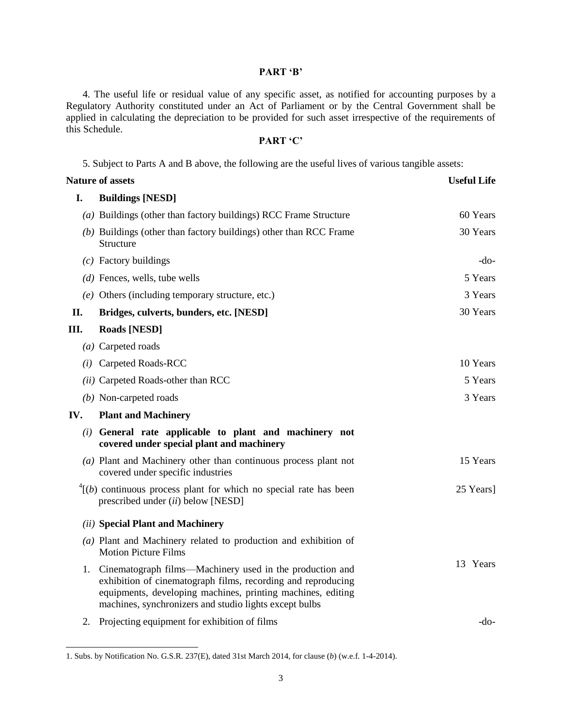# **PART 'B'**

4. The useful life or residual value of any specific asset, as notified for accounting purposes by a Regulatory Authority constituted under an Act of Parliament or by the Central Government shall be applied in calculating the depreciation to be provided for such asset irrespective of the requirements of this Schedule.

## **PART 'C'**

5. Subject to Parts A and B above, the following are the useful lives of various tangible assets:

| <b>Nature of assets</b> |                                                                                                                                                                                                                                                   | <b>Useful Life</b> |  |
|-------------------------|---------------------------------------------------------------------------------------------------------------------------------------------------------------------------------------------------------------------------------------------------|--------------------|--|
| I.                      | <b>Buildings [NESD]</b>                                                                                                                                                                                                                           |                    |  |
|                         | $(a)$ Buildings (other than factory buildings) RCC Frame Structure                                                                                                                                                                                | 60 Years           |  |
|                         | (b) Buildings (other than factory buildings) other than RCC Frame<br>Structure                                                                                                                                                                    | 30 Years           |  |
|                         | $(c)$ Factory buildings                                                                                                                                                                                                                           | -do-               |  |
|                         | $(d)$ Fences, wells, tube wells                                                                                                                                                                                                                   | 5 Years            |  |
|                         | $(e)$ Others (including temporary structure, etc.)                                                                                                                                                                                                | 3 Years            |  |
| II.                     | Bridges, culverts, bunders, etc. [NESD]                                                                                                                                                                                                           | 30 Years           |  |
| Ш.                      | <b>Roads [NESD]</b>                                                                                                                                                                                                                               |                    |  |
|                         | (a) Carpeted roads                                                                                                                                                                                                                                |                    |  |
|                         | (i) Carpeted Roads-RCC                                                                                                                                                                                                                            | 10 Years           |  |
|                         | (ii) Carpeted Roads-other than RCC                                                                                                                                                                                                                | 5 Years            |  |
|                         | $(b)$ Non-carpeted roads                                                                                                                                                                                                                          | 3 Years            |  |
| IV.                     | <b>Plant and Machinery</b>                                                                                                                                                                                                                        |                    |  |
|                         | (i) General rate applicable to plant and machinery not<br>covered under special plant and machinery                                                                                                                                               |                    |  |
|                         | (a) Plant and Machinery other than continuous process plant not<br>covered under specific industries                                                                                                                                              | 15 Years           |  |
|                         | $\frac{4}{1}$ (b) continuous process plant for which no special rate has been<br>prescribed under (ii) below [NESD]                                                                                                                               | 25 Years]          |  |
|                         | (ii) Special Plant and Machinery                                                                                                                                                                                                                  |                    |  |
|                         | (a) Plant and Machinery related to production and exhibition of<br><b>Motion Picture Films</b>                                                                                                                                                    |                    |  |
| 1.                      | Cinematograph films—Machinery used in the production and<br>exhibition of cinematograph films, recording and reproducing<br>equipments, developing machines, printing machines, editing<br>machines, synchronizers and studio lights except bulbs | 13 Years           |  |
| 2.                      | Projecting equipment for exhibition of films                                                                                                                                                                                                      | -do-               |  |

<sup>1.</sup> Subs. by Notification No. G.S.R. 237(E), dated 31st March 2014, for clause (*b*) (w.e.f. 1-4-2014).

 $\overline{a}$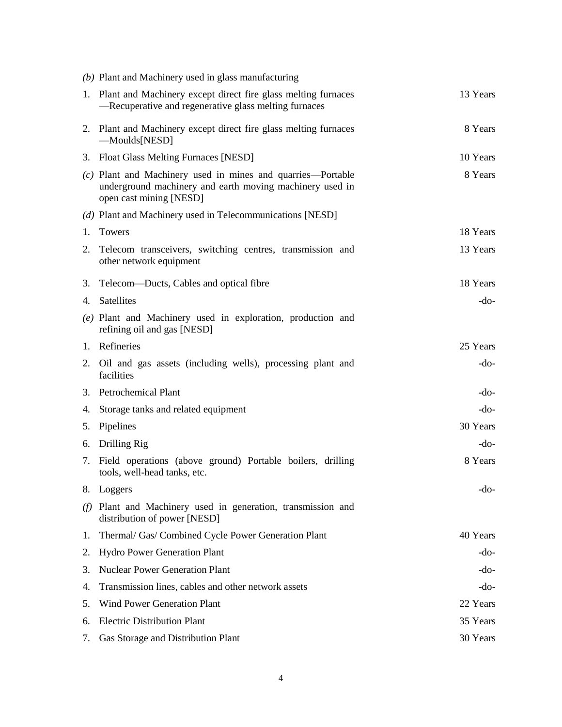|     | (b) Plant and Machinery used in glass manufacturing                                                                                                |          |
|-----|----------------------------------------------------------------------------------------------------------------------------------------------------|----------|
|     | 1. Plant and Machinery except direct fire glass melting furnaces<br>-Recuperative and regenerative glass melting furnaces                          | 13 Years |
|     | 2. Plant and Machinery except direct fire glass melting furnaces<br>$-Mouds[NESD]$                                                                 | 8 Years  |
|     | 3. Float Glass Melting Furnaces [NESD]                                                                                                             | 10 Years |
|     | (c) Plant and Machinery used in mines and quarries—Portable<br>underground machinery and earth moving machinery used in<br>open cast mining [NESD] | 8 Years  |
|     | (d) Plant and Machinery used in Telecommunications [NESD]                                                                                          |          |
| 1.  | Towers                                                                                                                                             | 18 Years |
|     | 2. Telecom transceivers, switching centres, transmission and<br>other network equipment                                                            | 13 Years |
|     | 3. Telecom—Ducts, Cables and optical fibre                                                                                                         | 18 Years |
| 4.  | Satellites                                                                                                                                         | $-do-$   |
|     | (e) Plant and Machinery used in exploration, production and<br>refining oil and gas [NESD]                                                         |          |
|     | 1. Refineries                                                                                                                                      | 25 Years |
| 2.  | Oil and gas assets (including wells), processing plant and<br>facilities                                                                           | -do-     |
|     | 3. Petrochemical Plant                                                                                                                             | $-do-$   |
| 4.  | Storage tanks and related equipment                                                                                                                | -do-     |
| 5.  | Pipelines                                                                                                                                          | 30 Years |
|     | 6. Drilling Rig                                                                                                                                    | -do-     |
|     | 7. Field operations (above ground) Portable boilers, drilling<br>tools, well-head tanks, etc.                                                      | 8 Years  |
| 8.  | Loggers                                                                                                                                            | -do-     |
| (f) | Plant and Machinery used in generation, transmission and<br>distribution of power [NESD]                                                           |          |
| 1.  | Thermal/ Gas/ Combined Cycle Power Generation Plant                                                                                                | 40 Years |
| 2.  | Hydro Power Generation Plant                                                                                                                       | -do-     |
| 3.  | <b>Nuclear Power Generation Plant</b>                                                                                                              | -do-     |
| 4.  | Transmission lines, cables and other network assets                                                                                                | -do-     |
| 5.  | <b>Wind Power Generation Plant</b>                                                                                                                 | 22 Years |
| 6.  | <b>Electric Distribution Plant</b>                                                                                                                 | 35 Years |
| 7.  | Gas Storage and Distribution Plant                                                                                                                 | 30 Years |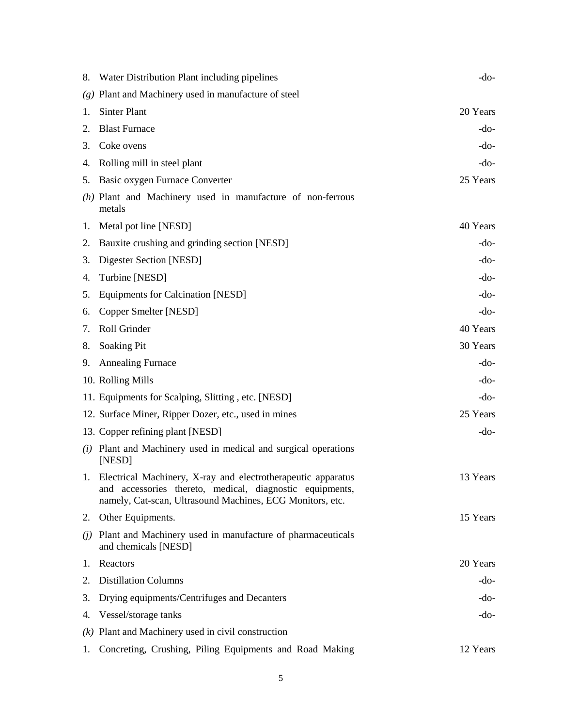|    | 8. Water Distribution Plant including pipelines                                                                                                                                          | -do-     |
|----|------------------------------------------------------------------------------------------------------------------------------------------------------------------------------------------|----------|
|    | $(g)$ Plant and Machinery used in manufacture of steel                                                                                                                                   |          |
| 1. | <b>Sinter Plant</b>                                                                                                                                                                      | 20 Years |
| 2. | <b>Blast Furnace</b>                                                                                                                                                                     | -do-     |
| 3. | Coke ovens                                                                                                                                                                               | -do-     |
| 4. | Rolling mill in steel plant                                                                                                                                                              | -do-     |
| 5. | Basic oxygen Furnace Converter                                                                                                                                                           | 25 Years |
|    | $(h)$ Plant and Machinery used in manufacture of non-ferrous<br>metals                                                                                                                   |          |
| 1. | Metal pot line [NESD]                                                                                                                                                                    | 40 Years |
| 2. | Bauxite crushing and grinding section [NESD]                                                                                                                                             | -do-     |
| 3. | Digester Section [NESD]                                                                                                                                                                  | -do-     |
| 4. | Turbine [NESD]                                                                                                                                                                           | -do-     |
| 5. | <b>Equipments for Calcination [NESD]</b>                                                                                                                                                 | -do-     |
| 6. | Copper Smelter [NESD]                                                                                                                                                                    | -do-     |
| 7. | Roll Grinder                                                                                                                                                                             | 40 Years |
| 8. | <b>Soaking Pit</b>                                                                                                                                                                       | 30 Years |
| 9. | <b>Annealing Furnace</b>                                                                                                                                                                 | -do-     |
|    | 10. Rolling Mills                                                                                                                                                                        | $-do-$   |
|    | 11. Equipments for Scalping, Slitting, etc. [NESD]                                                                                                                                       | -do-     |
|    | 12. Surface Miner, Ripper Dozer, etc., used in mines                                                                                                                                     | 25 Years |
|    | 13. Copper refining plant [NESD]                                                                                                                                                         | -do-     |
|    | (i) Plant and Machinery used in medical and surgical operations<br>[NESD]                                                                                                                |          |
|    | 1. Electrical Machinery, X-ray and electrotherapeutic apparatus<br>and accessories thereto, medical, diagnostic equipments,<br>namely, Cat-scan, Ultrasound Machines, ECG Monitors, etc. | 13 Years |
|    | 2. Other Equipments.                                                                                                                                                                     | 15 Years |
|    | (j) Plant and Machinery used in manufacture of pharmaceuticals<br>and chemicals [NESD]                                                                                                   |          |
| 1. | Reactors                                                                                                                                                                                 | 20 Years |
| 2. | <b>Distillation Columns</b>                                                                                                                                                              | -do-     |
| 3. | Drying equipments/Centrifuges and Decanters                                                                                                                                              | -do-     |
| 4. | Vessel/storage tanks                                                                                                                                                                     | -do-     |
|    | $(k)$ Plant and Machinery used in civil construction                                                                                                                                     |          |
| 1. | Concreting, Crushing, Piling Equipments and Road Making                                                                                                                                  | 12 Years |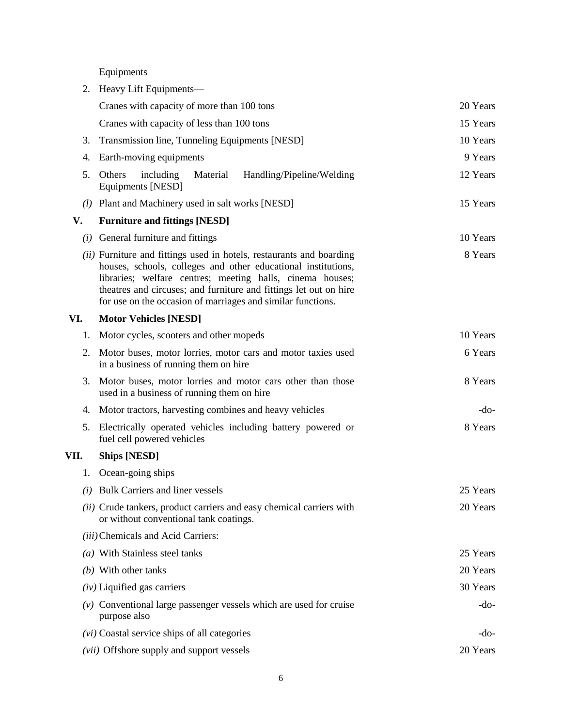Equipments

|      | 2. Heavy Lift Equipments—                                                                                                                                                                                                                                                                                                              |          |
|------|----------------------------------------------------------------------------------------------------------------------------------------------------------------------------------------------------------------------------------------------------------------------------------------------------------------------------------------|----------|
|      | Cranes with capacity of more than 100 tons                                                                                                                                                                                                                                                                                             | 20 Years |
|      | Cranes with capacity of less than 100 tons                                                                                                                                                                                                                                                                                             | 15 Years |
| 3.   | Transmission line, Tunneling Equipments [NESD]                                                                                                                                                                                                                                                                                         | 10 Years |
| 4.   | Earth-moving equipments                                                                                                                                                                                                                                                                                                                | 9 Years  |
| 5.   | Others<br>including<br>Material<br>Handling/Pipeline/Welding<br>Equipments [NESD]                                                                                                                                                                                                                                                      | 12 Years |
|      | (1) Plant and Machinery used in salt works [NESD]                                                                                                                                                                                                                                                                                      | 15 Years |
| V.   | <b>Furniture and fittings [NESD]</b>                                                                                                                                                                                                                                                                                                   |          |
|      | $(i)$ General furniture and fittings                                                                                                                                                                                                                                                                                                   | 10 Years |
|      | (ii) Furniture and fittings used in hotels, restaurants and boarding<br>houses, schools, colleges and other educational institutions,<br>libraries; welfare centres; meeting halls, cinema houses;<br>theatres and circuses; and furniture and fittings let out on hire<br>for use on the occasion of marriages and similar functions. | 8 Years  |
| VI.  | <b>Motor Vehicles [NESD]</b>                                                                                                                                                                                                                                                                                                           |          |
| 1.   | Motor cycles, scooters and other mopeds                                                                                                                                                                                                                                                                                                | 10 Years |
| 2.   | Motor buses, motor lorries, motor cars and motor taxies used<br>in a business of running them on hire                                                                                                                                                                                                                                  | 6 Years  |
| 3.   | Motor buses, motor lorries and motor cars other than those<br>used in a business of running them on hire                                                                                                                                                                                                                               | 8 Years  |
| 4.   | Motor tractors, harvesting combines and heavy vehicles                                                                                                                                                                                                                                                                                 | $-do-$   |
| 5.   | Electrically operated vehicles including battery powered or<br>fuel cell powered vehicles                                                                                                                                                                                                                                              | 8 Years  |
| VII. | <b>Ships [NESD]</b>                                                                                                                                                                                                                                                                                                                    |          |
|      | 1. Ocean-going ships                                                                                                                                                                                                                                                                                                                   |          |
|      | (i) Bulk Carriers and liner vessels                                                                                                                                                                                                                                                                                                    | 25 Years |
|      | (ii) Crude tankers, product carriers and easy chemical carriers with<br>or without conventional tank coatings.                                                                                                                                                                                                                         | 20 Years |
|      | (iii) Chemicals and Acid Carriers:                                                                                                                                                                                                                                                                                                     |          |
|      | $(a)$ With Stainless steel tanks                                                                                                                                                                                                                                                                                                       | 25 Years |
|      | $(b)$ With other tanks                                                                                                                                                                                                                                                                                                                 | 20 Years |
|      | $(iv)$ Liquified gas carriers                                                                                                                                                                                                                                                                                                          | 30 Years |
|      | $(v)$ Conventional large passenger vessels which are used for cruise<br>purpose also                                                                                                                                                                                                                                                   | $-do-$   |
|      | $(vi)$ Coastal service ships of all categories                                                                                                                                                                                                                                                                                         | $-do-$   |
|      | ( <i>vii</i> ) Offshore supply and support vessels                                                                                                                                                                                                                                                                                     | 20 Years |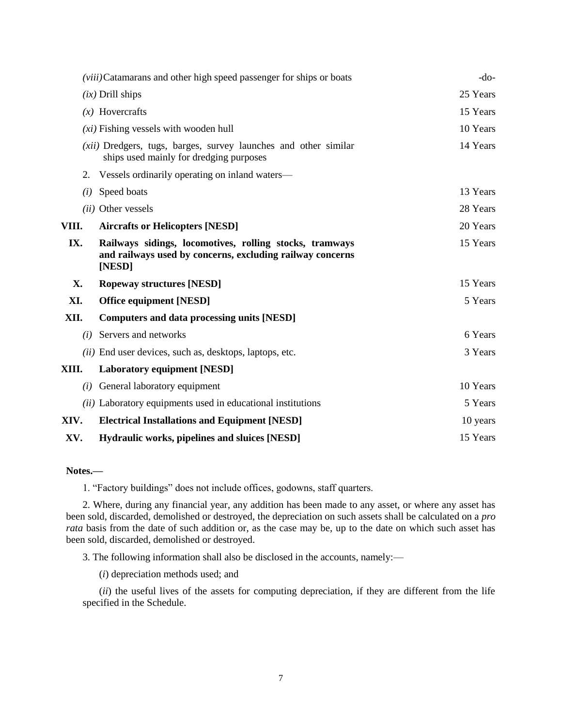|       | (viii)Catamarans and other high speed passenger for ships or boats                                                             | $-do-$   |
|-------|--------------------------------------------------------------------------------------------------------------------------------|----------|
|       | $(ix)$ Drill ships                                                                                                             | 25 Years |
|       | $(x)$ Hovercrafts                                                                                                              | 15 Years |
|       | $(x_i)$ Fishing vessels with wooden hull                                                                                       | 10 Years |
|       | (xii) Dredgers, tugs, barges, survey launches and other similar<br>ships used mainly for dredging purposes                     | 14 Years |
| 2.    | Vessels ordinarily operating on inland waters—                                                                                 |          |
| (i)   | Speed boats                                                                                                                    | 13 Years |
|       | (ii) Other vessels                                                                                                             | 28 Years |
| VIII. | <b>Aircrafts or Helicopters [NESD]</b>                                                                                         | 20 Years |
| IX.   | Railways sidings, locomotives, rolling stocks, tramways<br>and railways used by concerns, excluding railway concerns<br>[NESD] | 15 Years |
| X.    | <b>Ropeway structures [NESD]</b>                                                                                               | 15 Years |
| XI.   | <b>Office equipment [NESD]</b>                                                                                                 | 5 Years  |
| XII.  | <b>Computers and data processing units [NESD]</b>                                                                              |          |
| (i)   | Servers and networks                                                                                                           | 6 Years  |
|       | <i>(ii)</i> End user devices, such as, desktops, laptops, etc.                                                                 | 3 Years  |
| XIII. | <b>Laboratory equipment [NESD]</b>                                                                                             |          |
| (i)   | General laboratory equipment                                                                                                   | 10 Years |
|       | <i>(ii)</i> Laboratory equipments used in educational institutions                                                             | 5 Years  |
| XIV.  | <b>Electrical Installations and Equipment [NESD]</b>                                                                           | 10 years |
| XV.   | Hydraulic works, pipelines and sluices [NESD]                                                                                  | 15 Years |

#### **Notes.—**

1. "Factory buildings" does not include offices, godowns, staff quarters.

2. Where, during any financial year, any addition has been made to any asset, or where any asset has been sold, discarded, demolished or destroyed, the depreciation on such assets shall be calculated on a *pro rata* basis from the date of such addition or, as the case may be, up to the date on which such asset has been sold, discarded, demolished or destroyed.

3. The following information shall also be disclosed in the accounts, namely:—

(*i*) depreciation methods used; and

(*ii*) the useful lives of the assets for computing depreciation, if they are different from the life specified in the Schedule.